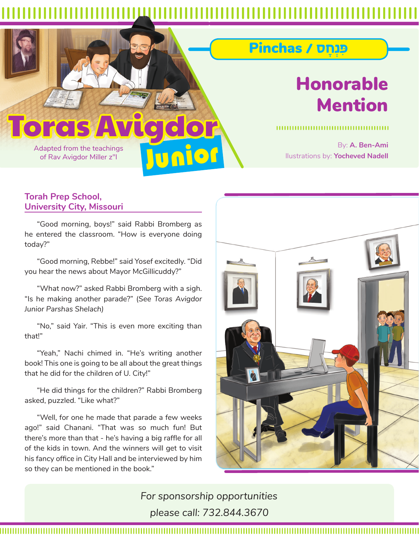nior

## **Toras**

Adapted from the teachings of Rav Avigdor Miller z"l

## Honorable Mention

ּƒפ¿נָחס / Pinchas

By: **A. Ben-Ami** llustrations by: **Yocheved Nadell**

## **Torah Prep School, University City, Missouri**

"Good morning, boys!" said Rabbi Bromberg as he entered the classroom. "How is everyone doing today?"

"Good morning, Rebbe!" said Yosef excitedly. "Did you hear the news about Mayor McGillicuddy?"

"What now?" asked Rabbi Bromberg with a sigh. "Is he making another parade?" (*See Toras Avigdor Junior Parshas Shelach)*

"No," said Yair. "This is even more exciting than that!"

"Yeah," Nachi chimed in. "He's writing another book! This one is going to be all about the great things that he did for the children of U. City!"

"He did things for the children?" Rabbi Bromberg asked, puzzled. "Like what?"

"Well, for one he made that parade a few weeks ago!" said Chanani. "That was so much fun! But there's more than that - he's having a big raffle for all of the kids in town. And the winners will get to visit his fancy office in City Hall and be interviewed by him so they can be mentioned in the book."



*For sponsorship opportunities please call: 732.844.3670*